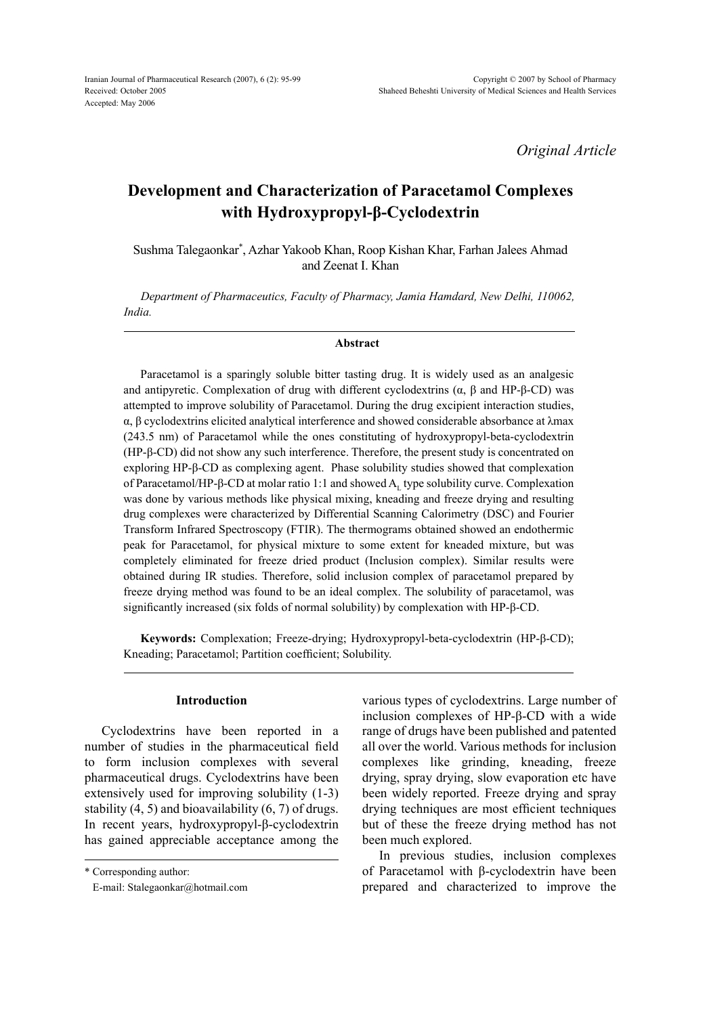*Original Article*

# **Development and Characterization of Paracetamol Complexes with Hydroxypropyl-β-Cyclodextrin**

Sushma Talegaonkar\* , Azhar Yakoob Khan, Roop Kishan Khar, Farhan Jalees Ahmad and Zeenat I. Khan

*Department of Pharmaceutics, Faculty of Pharmacy, Jamia Hamdard, New Delhi, 110062, India.*

#### **Abstract**

Paracetamol is a sparingly soluble bitter tasting drug. It is widely used as an analgesic and antipyretic. Complexation of drug with different cyclodextrins ( $α$ ,  $β$  and HP- $β$ -CD) was attempted to improve solubility of Paracetamol. During the drug excipient interaction studies, α, β cyclodextrins elicited analytical interference and showed considerable absorbance at λmax (243.5 nm) of Paracetamol while the ones constituting of hydroxypropyl-beta-cyclodextrin (HP-β-CD) did not show any such interference. Therefore, the present study is concentrated on exploring HP-β-CD as complexing agent. Phase solubility studies showed that complexation of Paracetamol/HP-β-CD at molar ratio 1:1 and showed A<sub>1</sub> type solubility curve. Complexation was done by various methods like physical mixing, kneading and freeze drying and resulting drug complexes were characterized by Differential Scanning Calorimetry (DSC) and Fourier Transform Infrared Spectroscopy (FTIR). The thermograms obtained showed an endothermic peak for Paracetamol, for physical mixture to some extent for kneaded mixture, but was completely eliminated for freeze dried product (Inclusion complex). Similar results were obtained during IR studies. Therefore, solid inclusion complex of paracetamol prepared by freeze drying method was found to be an ideal complex. The solubility of paracetamol, was significantly increased (six folds of normal solubility) by complexation with HP-β-CD.

**Keywords:** Complexation; Freeze-drying; Hydroxypropyl-beta-cyclodextrin (HP-β-CD); Kneading; Paracetamol; Partition coefficient; Solubility.

#### **Introduction**

Cyclodextrins have been reported in a number of studies in the pharmaceutical field to form inclusion complexes with several pharmaceutical drugs. Cyclodextrins have been extensively used for improving solubility (1-3) stability (4, 5) and bioavailability (6, 7) of drugs. In recent years, hydroxypropyl-β-cyclodextrin has gained appreciable acceptance among the various types of cyclodextrins. Large number of inclusion complexes of HP-β-CD with a wide range of drugs have been published and patented all over the world. Various methods for inclusion complexes like grinding, kneading, freeze drying, spray drying, slow evaporation etc have been widely reported. Freeze drying and spray drying techniques are most efficient techniques but of these the freeze drying method has not been much explored.

In previous studies, inclusion complexes of Paracetamol with β-cyclodextrin have been prepared and characterized to improve the

<sup>\*</sup> Corresponding author:

E-mail: Stalegaonkar@hotmail.com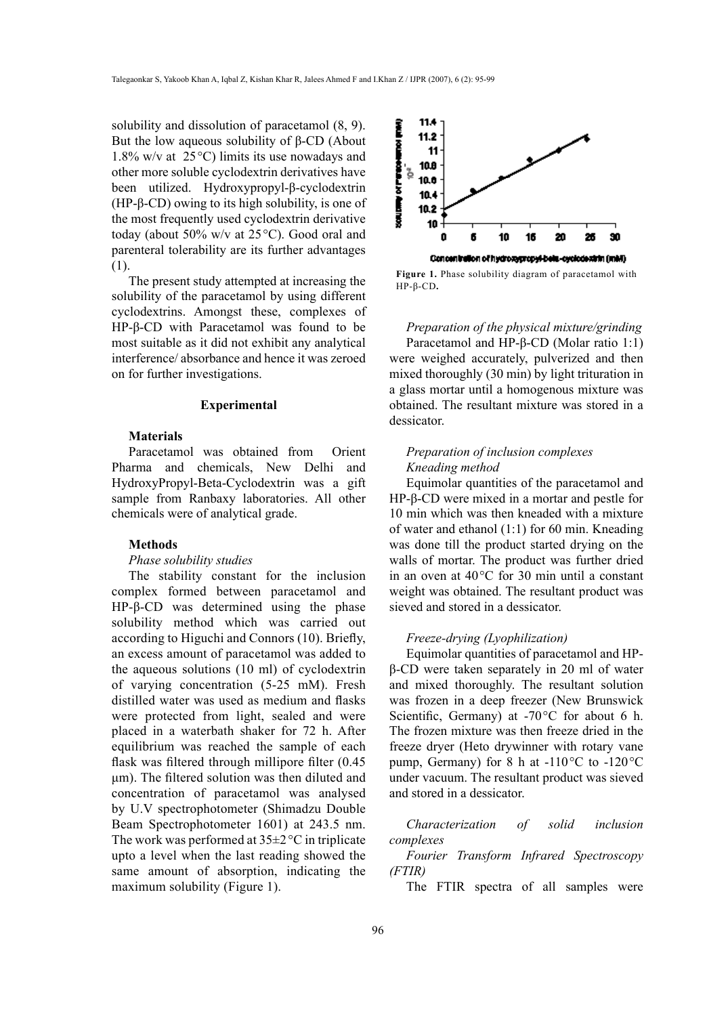solubility and dissolution of paracetamol (8, 9). But the low aqueous solubility of β-CD (About 1.8% w/v at  $25^{\circ}$ C) limits its use nowadays and other more soluble cyclodextrin derivatives have been utilized. Hydroxypropyl-β-cyclodextrin (HP-β-CD) owing to its high solubility, is one of the most frequently used cyclodextrin derivative today (about 50% w/v at 25°C). Good oral and parenteral tolerability are its further advantages (1).

The present study attempted at increasing the solubility of the paracetamol by using different cyclodextrins. Amongst these, complexes of HP-β-CD with Paracetamol was found to be most suitable as it did not exhibit any analytical interference/ absorbance and hence it was zeroed on for further investigations.

## **Experimental**

## **Materials**

Paracetamol was obtained from Orient Pharma and chemicals, New Delhi and HydroxyPropyl-Beta-Cyclodextrin was a gift sample from Ranbaxy laboratories. All other chemicals were of analytical grade.

#### **Methods**

## *Phase solubility studies*

The stability constant for the inclusion complex formed between paracetamol and HP-β-CD was determined using the phase solubility method which was carried out according to Higuchi and Connors (10). Briefly, an excess amount of paracetamol was added to the aqueous solutions (10 ml) of cyclodextrin of varying concentration (5-25 mM). Fresh distilled water was used as medium and flasks were protected from light, sealed and were placed in a waterbath shaker for 72 h. After equilibrium was reached the sample of each flask was filtered through millipore filter (0.45 μm). The filtered solution was then diluted and concentration of paracetamol was analysed by U.V spectrophotometer (Shimadzu Double Beam Spectrophotometer 1601) at 243.5 nm. The work was performed at  $35\pm2\degree C$  in triplicate upto a level when the last reading showed the same amount of absorption, indicating the maximum solubility (Figure 1).



**Figure 1.** Phase solubility diagram of paracetamol with HP-β-CD**.**

*Preparation of the physical mixture/grinding* Paracetamol and HP-β-CD (Molar ratio 1:1) were weighed accurately, pulverized and then mixed thoroughly (30 min) by light trituration in a glass mortar until a homogenous mixture was obtained. The resultant mixture was stored in a dessicator.

## *Preparation of inclusion complexes Kneading method*

Equimolar quantities of the paracetamol and HP-β-CD were mixed in a mortar and pestle for 10 min which was then kneaded with a mixture of water and ethanol (1:1) for 60 min. Kneading was done till the product started drying on the walls of mortar. The product was further dried in an oven at 40°C for 30 min until a constant weight was obtained. The resultant product was sieved and stored in a dessicator.

#### *Freeze-drying (Lyophilization)*

Equimolar quantities of paracetamol and HPβ-CD were taken separately in 20 ml of water and mixed thoroughly. The resultant solution was frozen in a deep freezer (New Brunswick Scientific, Germany) at -70 °C for about 6 h. The frozen mixture was then freeze dried in the freeze dryer (Heto drywinner with rotary vane pump, Germany) for 8 h at -110°C to -120°C under vacuum. The resultant product was sieved and stored in a dessicator.

*Characterization of solid inclusion complexes*

*Fourier Transform Infrared Spectroscopy (FTIR)*

The FTIR spectra of all samples were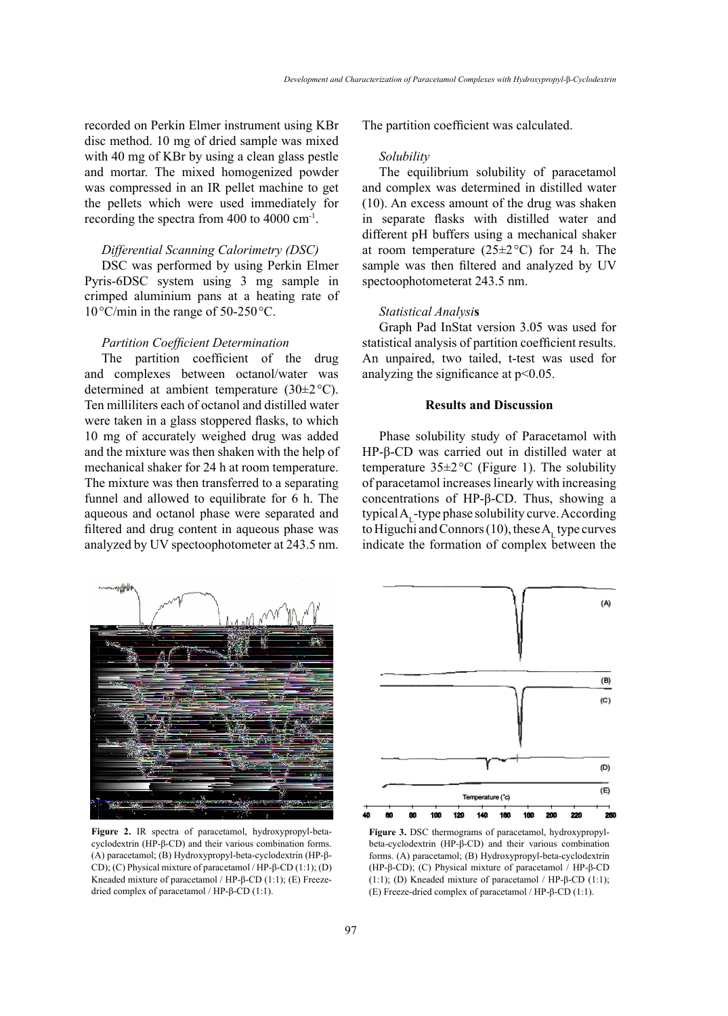recorded on Perkin Elmer instrument using KBr disc method. 10 mg of dried sample was mixed with 40 mg of KBr by using a clean glass pestle and mortar. The mixed homogenized powder was compressed in an IR pellet machine to get the pellets which were used immediately for recording the spectra from 400 to 4000 cm-1.

## *Differential Scanning Calorimetry (DSC)*

DSC was performed by using Perkin Elmer Pyris-6DSC system using 3 mg sample in crimped aluminium pans at a heating rate of 10°C/min in the range of 50-250°C.

## *Partition Coefficient Determination*

The partition coefficient of the drug and complexes between octanol/water was determined at ambient temperature (30±2°C). Ten milliliters each of octanol and distilled water were taken in a glass stoppered flasks, to which 10 mg of accurately weighed drug was added and the mixture was then shaken with the help of mechanical shaker for 24 h at room temperature. The mixture was then transferred to a separating funnel and allowed to equilibrate for 6 h. The aqueous and octanol phase were separated and filtered and drug content in aqueous phase was analyzed by UV spectoophotometer at 243.5 nm. The partition coefficient was calculated.

#### *Solubility*

The equilibrium solubility of paracetamol and complex was determined in distilled water (10). An excess amount of the drug was shaken in separate flasks with distilled water and different pH buffers using a mechanical shaker at room temperature  $(25\pm2\degree C)$  for 24 h. The sample was then filtered and analyzed by UV spectoophotometerat 243.5 nm.

## *Statistical Analysi***s**

Graph Pad InStat version 3.05 was used for statistical analysis of partition coefficient results. An unpaired, two tailed, t-test was used for analyzing the significance at  $p<0.05$ .

## **Results and Discussion**

Phase solubility study of Paracetamol with HP-β-CD was carried out in distilled water at temperature  $35\pm2$  °C (Figure 1). The solubility of paracetamol increases linearly with increasing concentrations of HP-β-CD. Thus, showing a typical  $A_{i}$ -type phase solubility curve. According to Higuchi and Connors  $(10)$ , these A<sub>r</sub> type curves indicate the formation of complex between the



**Figure 2.** IR spectra of paracetamol, hydroxypropyl-betacyclodextrin (HP-β-CD) and their various combination forms. (A) paracetamol; (B) Hydroxypropyl-beta-cyclodextrin (HP-β-CD); (C) Physical mixture of paracetamol / HP-β-CD (1:1); (D) Kneaded mixture of paracetamol / HP-β-CD (1:1); (E) Freezedried complex of paracetamol / HP-β-CD (1:1).



**Figure 3.** DSC thermograms of paracetamol, hydroxypropylbeta-cyclodextrin (HP-β-CD) and their various combination forms. (A) paracetamol; (B) Hydroxypropyl-beta-cyclodextrin (HP-β-CD); (C) Physical mixture of paracetamol / HP-β-CD (1:1); (D) Kneaded mixture of paracetamol / HP- $\beta$ -CD (1:1); (E) Freeze-dried complex of paracetamol / HP-β-CD (1:1).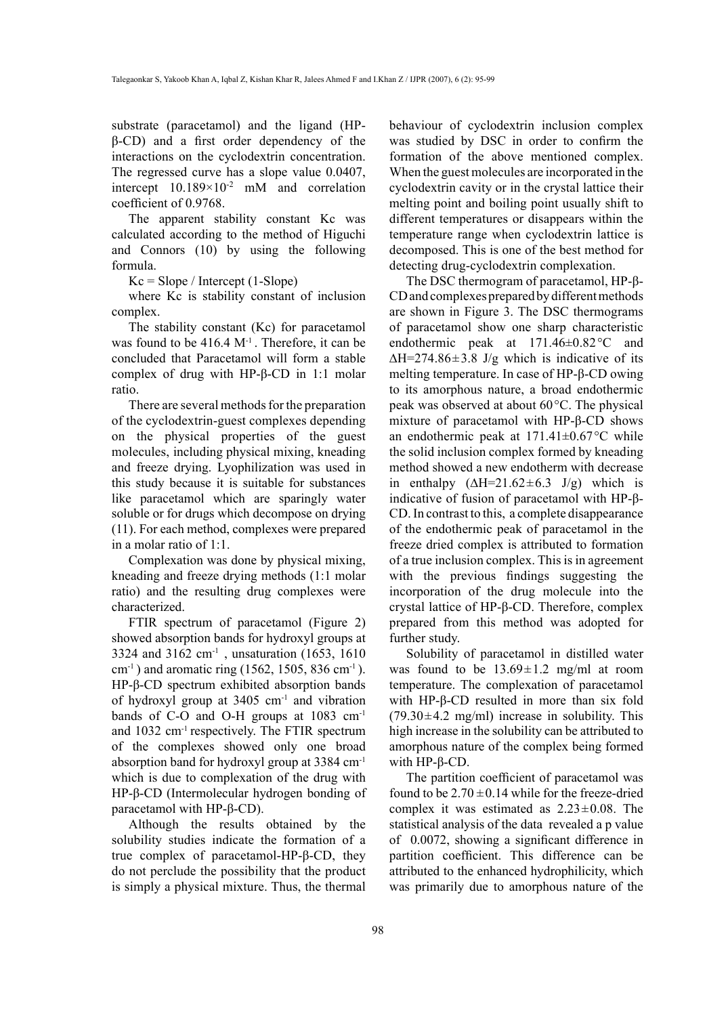substrate (paracetamol) and the ligand (HPβ-CD) and a first order dependency of the interactions on the cyclodextrin concentration. The regressed curve has a slope value 0.0407, intercept  $10.189 \times 10^{-2}$  mM and correlation coefficient of 0.9768.

The apparent stability constant Kc was calculated according to the method of Higuchi and Connors (10) by using the following formula.

 $Kc = Slope / Intercept (1-Slope)$ 

where Kc is stability constant of inclusion complex.

The stability constant (Kc) for paracetamol was found to be  $416.4 \text{ M}^{-1}$ . Therefore, it can be concluded that Paracetamol will form a stable complex of drug with HP-β-CD in 1:1 molar ratio.

There are several methods for the preparation of the cyclodextrin-guest complexes depending on the physical properties of the guest molecules, including physical mixing, kneading and freeze drying. Lyophilization was used in this study because it is suitable for substances like paracetamol which are sparingly water soluble or for drugs which decompose on drying (11). For each method, complexes were prepared in a molar ratio of 1:1.

Complexation was done by physical mixing, kneading and freeze drying methods (1:1 molar ratio) and the resulting drug complexes were characterized.

FTIR spectrum of paracetamol (Figure 2) showed absorption bands for hydroxyl groups at 3324 and 3162 cm-1 , unsaturation (1653, 1610  $cm^{-1}$ ) and aromatic ring (1562, 1505, 836 cm<sup>-1</sup>). HP-β-CD spectrum exhibited absorption bands of hydroxyl group at  $3405 \text{ cm}^{-1}$  and vibration bands of C-O and O-H groups at 1083 cm-1 and 1032 cm-1 respectively. The FTIR spectrum of the complexes showed only one broad absorption band for hydroxyl group at 3384 cm-1 which is due to complexation of the drug with HP-β-CD (Intermolecular hydrogen bonding of paracetamol with HP-β-CD).

Although the results obtained by the solubility studies indicate the formation of a true complex of paracetamol-HP-β-CD, they do not perclude the possibility that the product is simply a physical mixture. Thus, the thermal

behaviour of cyclodextrin inclusion complex was studied by DSC in order to confirm the formation of the above mentioned complex. When the guest molecules are incorporated in the cyclodextrin cavity or in the crystal lattice their melting point and boiling point usually shift to different temperatures or disappears within the temperature range when cyclodextrin lattice is decomposed. This is one of the best method for detecting drug-cyclodextrin complexation.

The DSC thermogram of paracetamol, HP-β-CD and complexes prepared by different methods are shown in Figure 3. The DSC thermograms of paracetamol show one sharp characteristic endothermic peak at 171.46±0.82°C and  $\Delta H = 274.86 \pm 3.8$  J/g which is indicative of its melting temperature. In case of HP-β-CD owing to its amorphous nature, a broad endothermic peak was observed at about 60°C. The physical mixture of paracetamol with HP-β-CD shows an endothermic peak at  $171.41 \pm 0.67$ °C while the solid inclusion complex formed by kneading method showed a new endotherm with decrease in enthalpy  $(\Delta H=21.62\pm6.3 \text{ J/g})$  which is indicative of fusion of paracetamol with HP-β-CD. In contrast to this, a complete disappearance of the endothermic peak of paracetamol in the freeze dried complex is attributed to formation of a true inclusion complex. This is in agreement with the previous findings suggesting the incorporation of the drug molecule into the crystal lattice of HP-β-CD. Therefore, complex prepared from this method was adopted for further study.

Solubility of paracetamol in distilled water was found to be  $13.69 \pm 1.2$  mg/ml at room temperature. The complexation of paracetamol with HP-β-CD resulted in more than six fold  $(79.30 \pm 4.2 \text{ mg/ml})$  increase in solubility. This high increase in the solubility can be attributed to amorphous nature of the complex being formed with HP-β-CD.

The partition coefficient of paracetamol was found to be  $2.70 \pm 0.14$  while for the freeze-dried complex it was estimated as  $2.23 \pm 0.08$ . The statistical analysis of the data revealed a p value of 0.0072, showing a significant difference in partition coefficient. This difference can be attributed to the enhanced hydrophilicity, which was primarily due to amorphous nature of the